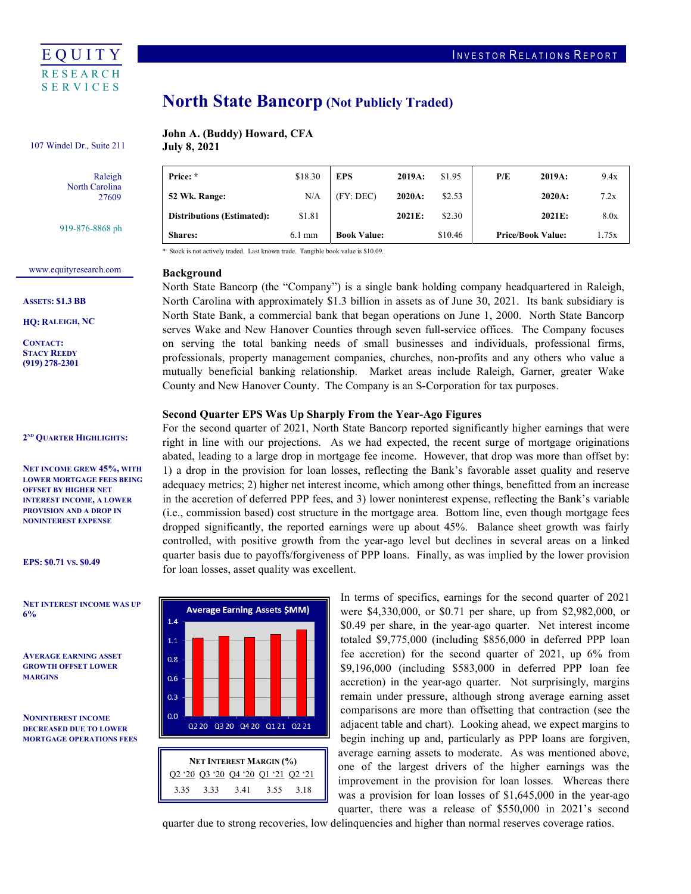

# North State Bancorp (Not Publicly Traded)

#### John A. (Buddy) Howard, CFA **July 8, 2021** 107 Windel Dr., Suite 211

Price: \*

Raleigh

North Carolina 27609

919-876-8868 ph

| <b>Shares:</b>                    | $6.1 \text{ mm}$ | <b>Book Value:</b> |           | \$10.46 | <b>Price/Book Value:</b> | 1.75x |
|-----------------------------------|------------------|--------------------|-----------|---------|--------------------------|-------|
| <b>Distributions (Estimated):</b> | \$1.81           |                    | $2021E$ : | \$2.30  | 2021E:                   | 8.0x  |
| 52 Wk. Range:                     | N/A              | (FY:DEC)           | $2020A$ : | \$2.53  | 2020A:                   | 7.2x  |

\* Stock is not actively traded. Last known trade. Tangible book value is \$10.09.

 NET INTEREST MARGIN (%) Q2 '20 Q3 '20 Q4 '20 Q1 '21 Q2 '21

Q2 20 Q3 20 Q4 20 Q1 21 Q2 21

**Average Earning Assets \$MM)** 

 $14$  $1.1$  $0.8$  $0.6$  $0.3$  $0.0$ 

3.35 3.33 3.41 3.55 3.18

# <www.equityresearch.com>

ASSETS: \$1.3 BB

HQ: RALEIGH, NC

CONTACT: STACY REEDY (919) 278-2301

#### 2<sup>ND</sup> QUARTER HIGHLIGHTS:

 NET INCOME GREW 45%, WITH LOWER MORTGAGE FEES BEING OFFSET BY HIGHER NET INTEREST INCOME, A LOWER PROVISION AND A DROP IN NONINTEREST EXPENSE

EPS: \$0.71 VS. \$0.49

 NET INTEREST INCOME WAS UP 6%

 AVERAGE EARNING ASSET GROWTH OFFSET LOWER MARGINS

 NONINTEREST INCOME DECREASED DUE TO LOWER MORTGAGE OPERATIONS FEES

## Background

 North State Bancorp (the "Company") is a single bank holding company headquartered in Raleigh, North Carolina with approximately \$1.3 billion in assets as of June 30, 2021. Its bank subsidiary is North State Bank, a commercial bank that began operations on June 1, 2000. North State Bancorp serves Wake and New Hanover Counties through seven full-service offices. The Company focuses on serving the total banking needs of small businesses and individuals, professional firms, professionals, property management companies, churches, non-profits and any others who value a mutually beneficial banking relationship. Market areas include Raleigh, Garner, greater Wake County and New Hanover County. The Company is an S-Corporation for tax purposes.

Price: \* \$18.30 EPS 2019A: \$1.95 P/E 2019A: 9.4x

#### Second Quarter EPS Was Up Sharply From the Year-Ago Figures

 For the second quarter of 2021, North State Bancorp reported significantly higher earnings that were right in line with our projections. As we had expected, the recent surge of mortgage originations abated, leading to a large drop in mortgage fee income. However, that drop was more than offset by: 1) a drop in the provision for loan losses, reflecting the Bank's favorable asset quality and reserve adequacy metrics; 2) higher net interest income, which among other things, benefitted from an increase in the accretion of deferred PPP fees, and 3) lower noninterest expense, reflecting the Bank's variable (i.e., commission based) cost structure in the mortgage area. Bottom line, even though mortgage fees dropped significantly, the reported earnings were up about 45%. Balance sheet growth was fairly controlled, with positive growth from the year-ago level but declines in several areas on a linked quarter basis due to payoffs/forgiveness of PPP loans. Finally, as was implied by the lower provision for loan losses, asset quality was excellent.

> In terms of specifics, earnings for the second quarter of 2021 were \$4,330,000, or \$0.71 per share, up from \$2,982,000, or \$0.49 per share, in the year-ago quarter. Net interest income totaled \$9,775,000 (including \$856,000 in deferred PPP loan fee accretion) for the second quarter of 2021, up 6% from \$9,196,000 (including \$583,000 in deferred PPP loan fee accretion) in the year-ago quarter. Not surprisingly, margins remain under pressure, although strong average earning asset comparisons are more than offsetting that contraction (see the adjacent table and chart). Looking ahead, we expect margins to begin inching up and, particularly as PPP loans are forgiven, average earning assets to moderate. As was mentioned above, one of the largest drivers of the higher earnings was the improvement in the provision for loan losses. Whereas there was a provision for loan losses of \$1,645,000 in the year-ago quarter, there was a release of \$550,000 in 2021's second

quarter due to strong recoveries, low delinquencies and higher than normal reserves coverage ratios.